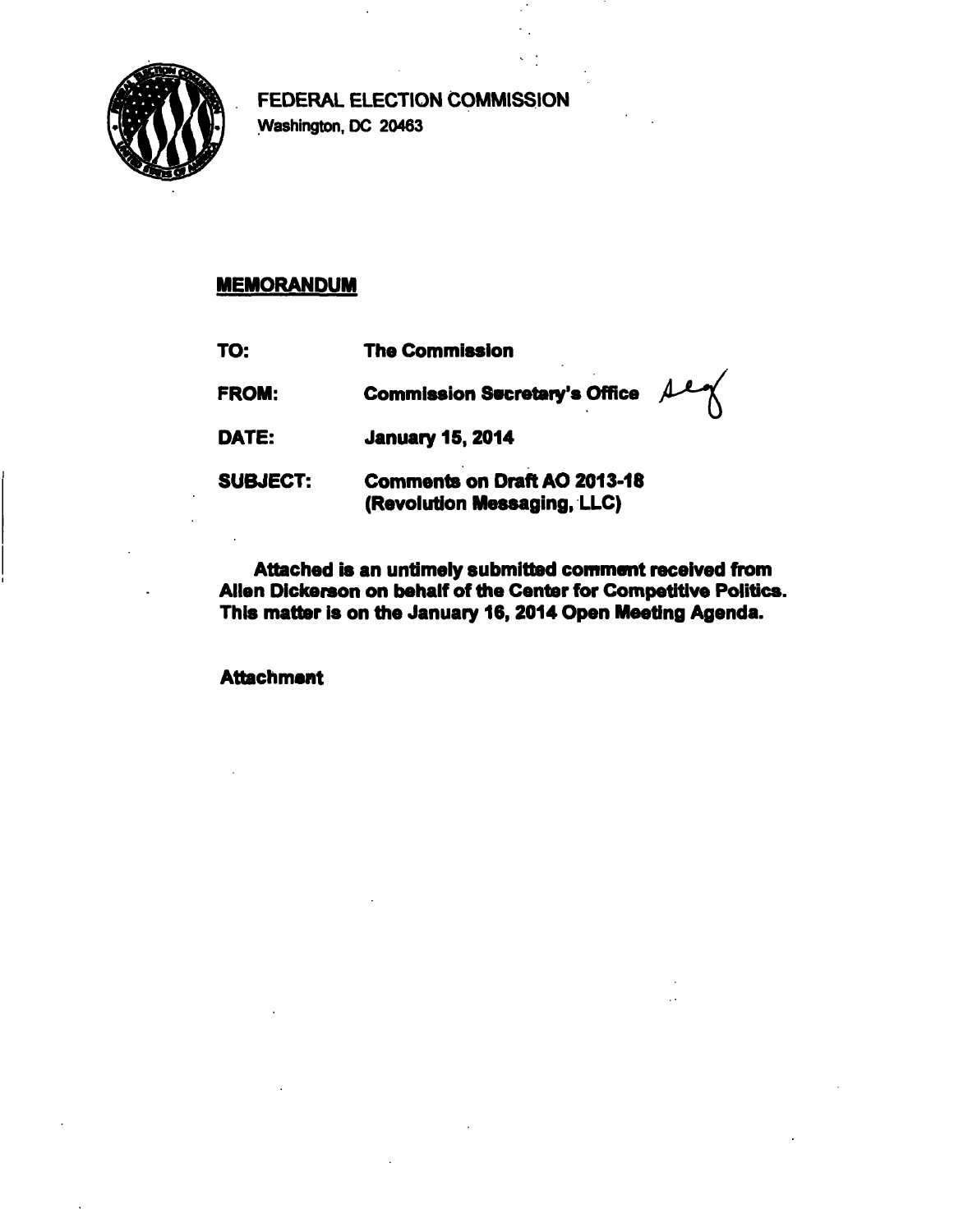

**FEDERAL ELECTION COMMISSION Washington, DC 20463** 

## **MEMORANDUM**

| TO:             | <b>The Commission</b>                                              |  |
|-----------------|--------------------------------------------------------------------|--|
| FROM:           | sey<br><b>Commission Secretary's Office</b>                        |  |
| DATE:           | <b>January 15, 2014</b>                                            |  |
| <b>SUBJECT:</b> | <b>Comments on Draft AO 2013-18</b><br>(Revolution Messaging, LLC) |  |

**Attached is an untimely submitted comment received from Allen Dickerson on behalf of the Center for Competitive Politics. This matter is on the January 16,2014 Open Meeting Agenda.** 

**Attachment**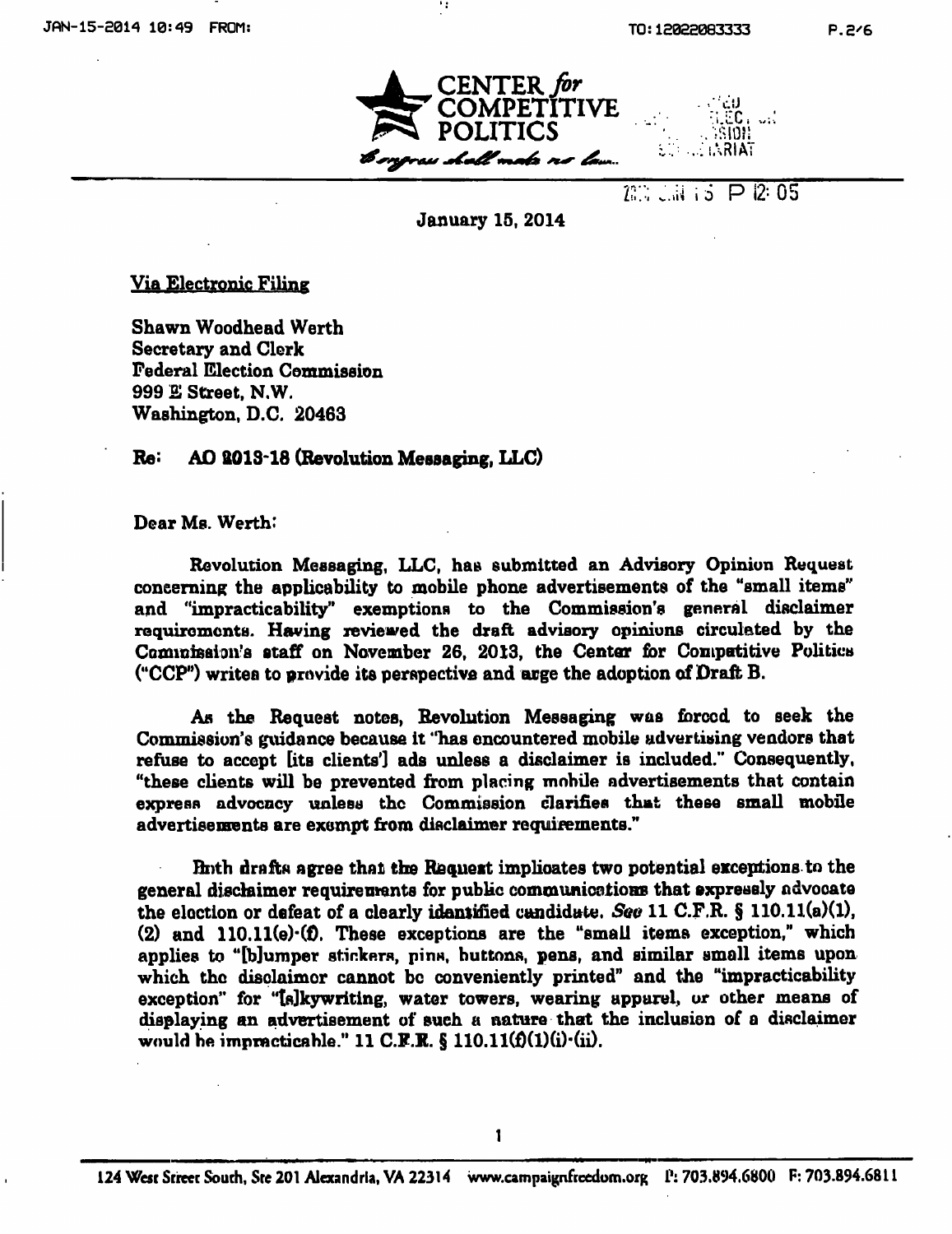

**VZ\ i i P 12= 05** 

## **January 15, 2014**

**Via Electronic Filing** 

**Shawn Woodhead Werth Secretary and Clork Federal Election Commission 999 E Street. N.W. Washington, D.C. 20463** 

## **Re: AO 2013\*18 (Revolution Mesaaging, LLC)**

**Dear Ms. Werth:** 

**Revolution Messaging, LLC, has submitted an Advisory Opinion Request concerning the applicability to mobile phone advertisements of the "small items" and "impracticability" exemptions to the Commission's general disclaimer requiromcnta. Having reviewed the draft advisory opinions circulated by the Commission's staff on November 26, 2013, the Center for Competitive Politics ("CCP") writes to provide its perspective and urge the adoption of Draft B.** 

**As the Request notes, Revolution Messaging was forced to seek the Commission's guidance because it "has encountered mobile advertising vendors that refuse to accept [its clients'] ads unless a disclaimer is included." Consequently, "these clients will be prevented from placing mobile advertisements that contain express advocacy unless the Commission clarifies that these smaU mobile advertisements are exempt from disclaimer requirements.\*'** 

**Both drafts agree that the Request implicates two potential exceptions to the general disclaimer requirements for public communications that expressly advocate the election or defeat of a clearly identified candidate. Seo 11 C.F.R. § 110.11(a)(1),**  (2) and 110.11(e) $\cdot$ (f). These exceptions are the "small items exception," which applies to "[b]umper stickers, pins, buttons, pens, and similar small items upon **which the displaimor cannot be conveniently printed" and the "impracticability**  exception" for "[s]kywriting, water towers, wearing apparel, or other means of **displaying an advertisement of such a nature that the inclusion of a disclaimer would be impracticable." 11 C.F.R. § 110.11(f)(1)(i).** (ii).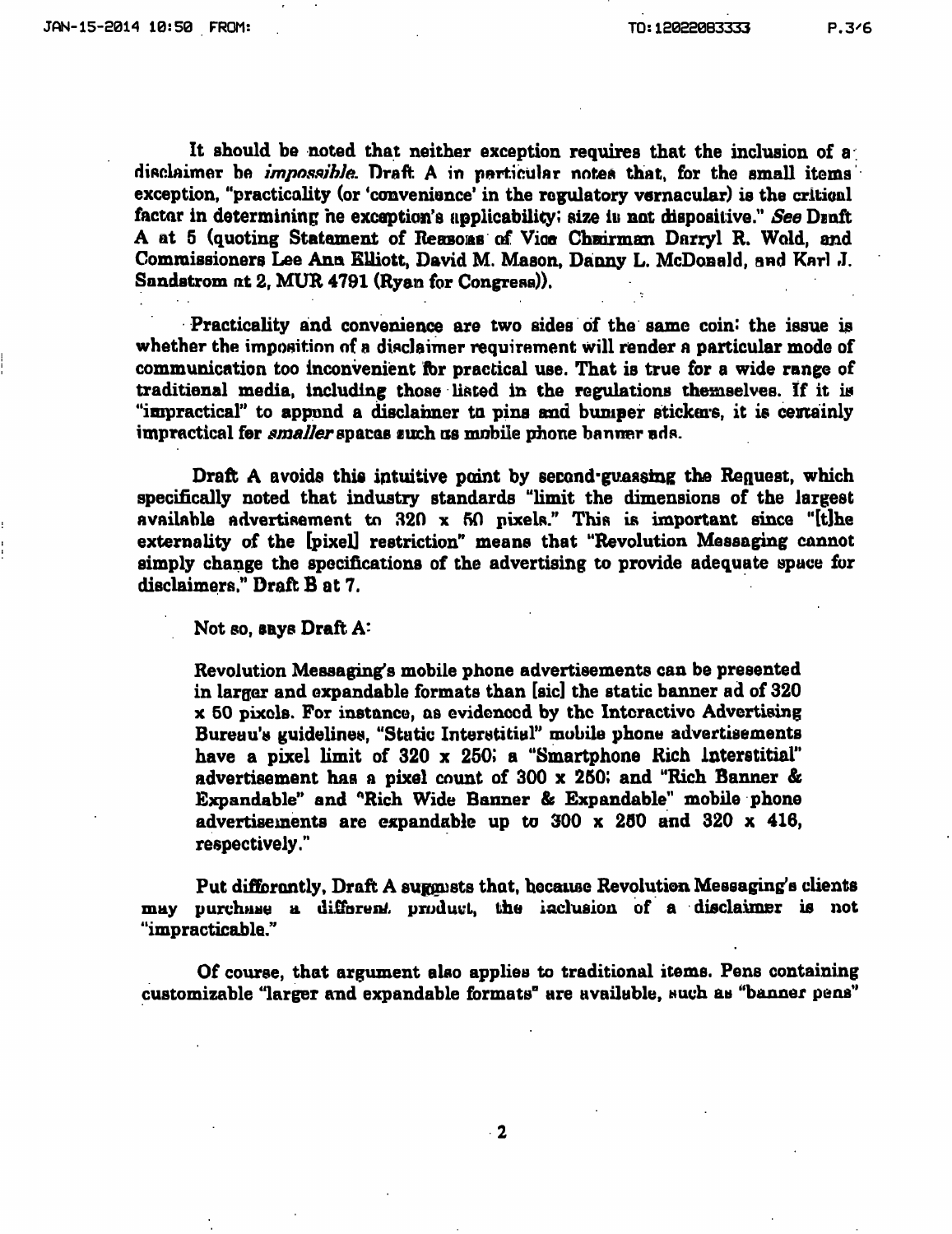**It should be noted that neither exception requires that the inclusion of a**  disclaimer be *impossible*. Draft A in particular notes that, for the small items **exception, "practicality (or 'convenience' in the regulatory vernacular) is the critical**  factor in determining he exception's applicability; size is not dispositive." See Draft **A at 5 (quoting Statement of Reasons of Vice Chairman Darryl R. Wold, and**  Commissioners Lee Ann Elliott, David M. Mason, Danny L. McDonald, and Karl J. **Sandstrom at 2, MUR 4791 (Ryan for Congress)).** 

Practicality and convenience are two sides of the same coin: the issue is **whether the imposition of a disclaimer requirement will render a particular mode of**  communication too inconvenient for practical use. That is true for a wide range of **traditional media, including those listed in the regulations themselves. If it is "impractical" to append a disclaimer to pins and bumper stickers, it is certainly impractical for** *smaller* **spaces such as mobile phone banner ads.** 

**Draft A avoids this intuitive point by second-guassing the Request, which specifically noted that industry standards "limit the dimensions of the largest available advertisement tn 820 x 50 pixels." This is important since "[t]he externality of the [pixel] restriction" means that "Revolution Messaging cannot simply change the specifications of the advertising to provide adequate space for disclaimers." Draft B at 7.** 

Not so, says **Draft A**:

**Revolution Messaging's mobile phone advertisements can be presented in larger and expandable formats than [sic] the static banner ad of 320 X 50 pixels. For instance, as evidenced by the Interactive Advertising**  Bureau's guidelines, "Static Interstitial" mobile phone advertisements **have a pixel limit of 320 x 250; a "Smartphone Rich interstitial" advertisement has a pixel count of 300 x 260; and "Rich Banner & Expandable" and "Rich Wide Banner & Expandable" mobile phone advertisements are expandable up to 300 x 250 and 320 x 416, respectively.'\*** 

Put difforantly, Draft A suggasts that, because Revolution Messaging's clients **may purchase a different product, the inclusion of a disclaimer is not "impracticable."** 

**Of course, that argument also applies to traditional items. Pens containing customizable "larger and expandable formats" are available, such as "banner pens"**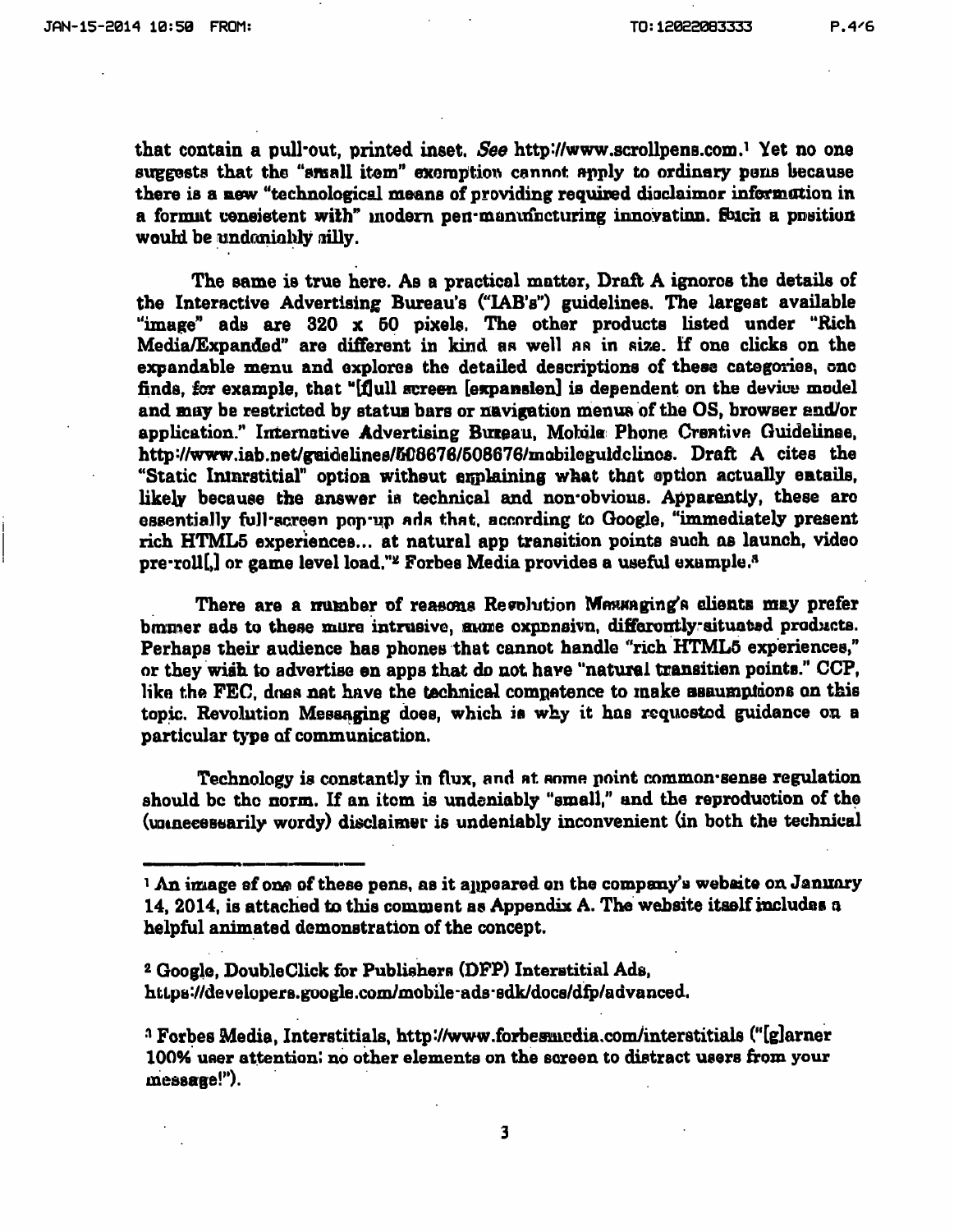that contain a pull-out, printed inset. See http://www.scrollpens.com.<sup>1</sup> Yet no one **suggests that the "small item" exeraption cannot apply to ordinary pens because there is a new "technological means of providing required disclaimer information in a format consistent with" modem pen-manufacturing innovation. Such a position would be undeniably silly.** 

**The same is true here. As a practical matter, Draft A ignores the details of the Interactive Advertising Bureau's C'lAB's") guidelines. The largest available "image" ads are 320 x 50 pixels. The other products listed under "Rich Media/Expanded" are different in kind as well as in size. If one clicks on the expandable menu and explores the detailed descriptions of these categories, one finds, for example, that "[dull screen [expansion] is dependent on the device model and may be restricted by status bars or navigation menus of the OS, browser and/or application." Interactive Advertising Bureau. Mobile Phone Creative Guidelines.**  http://www.iab.net/guidelines/508676/508676/mobileguidclincs. Draft A cites the "Static Interstitial" option without explaining what that option actually entails, **likely because the answer is technical and non'obvious. Apparently, these arc essentially full-screen pop-up ads that, according to Google, "immediately present rich HTML5 experiences... at natural app transition points such as launch, video**  pre-roll[*]* or game level load."<sup>2</sup> Forbes Media provides a useful example.<sup>8</sup>

There are a number of reasons Resolution Messaging's clients may prefer banner ads to these mure intrusive, same expensivn, differently-situated products. **Perhaps their audience has phones that cannot handle "rich HTML5 experiences," or they wish to advertise on apps that do not have "natural transition points." CCP, like the FEC. does not have the technical competence to make assumptions on this topic. Revolution Messaging does, which ia why it has requested guidance on a particular type of communication.** 

**Technology is constantly in flux, and at anme point common-sense regulation should bc the norm. If an item is undeniably "small," and the reproduction of the (unnecessarily wordy) disclaimer is undeniably inconvenient (in both the technical** 

<sup>&</sup>lt;sup>1</sup> An image of one of these pens, as it appeared on the company's website on January **14, 2014. is attached to tliis comment as Appendix A. The website itself includes a**  helpful animated demonstration of the concept.

**<sup>2</sup> Google, Doubleclick for Publishers (DFP) Interstitial Ads,**  https://developers.google.com/mobile-ads-sdk/docs/dfp/advanced.

**<sup>^</sup> Forbes Media, Interstitials. http://www.forbesmedia.comyinterstitials ("[g]arner 100% user attention: no other elements on the screen to distract users from your message!").**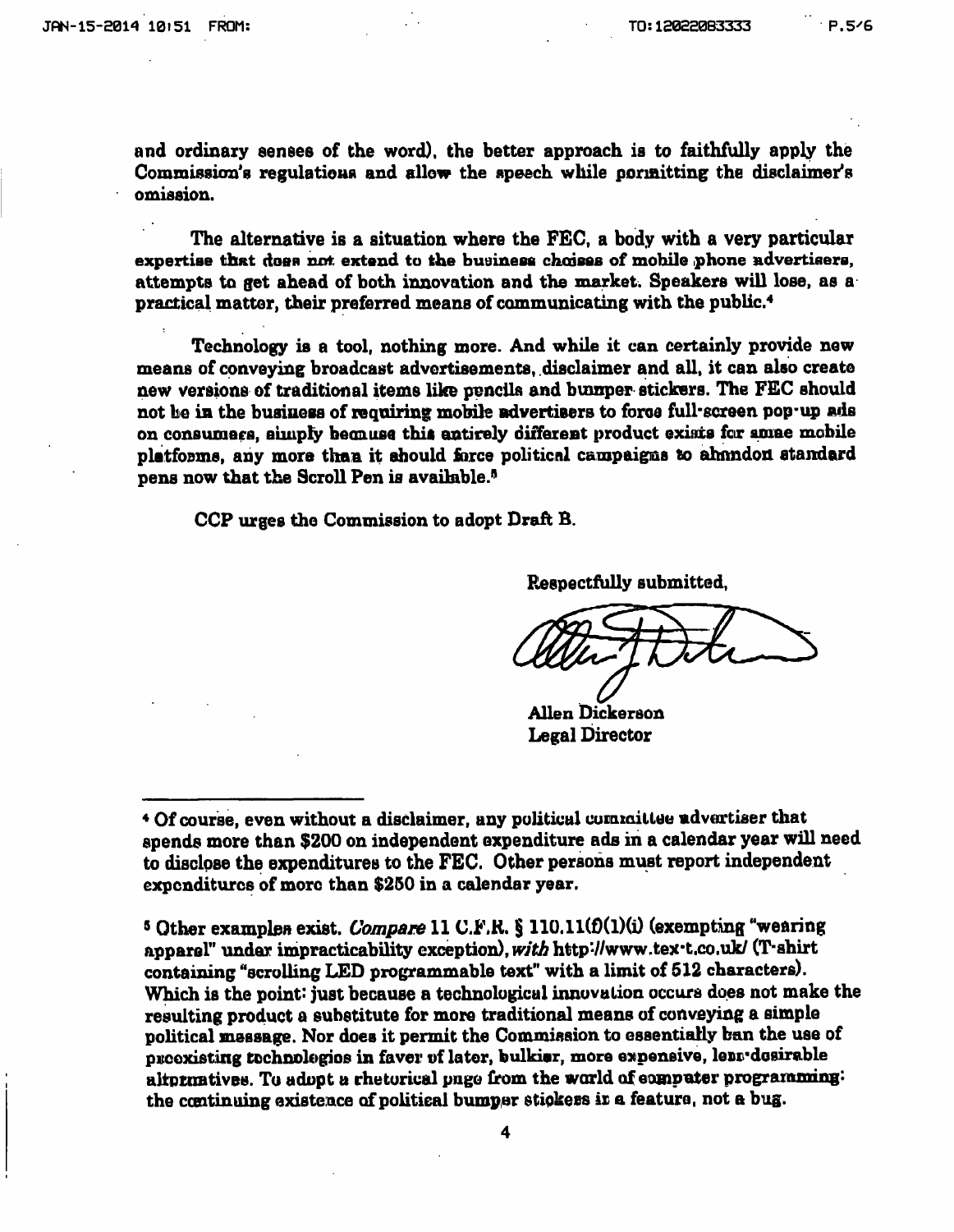and ordinary senses of the word), the better approach is to faithfully apply the **Commission's regulations and allow the speech while permitting the disclaimer's omission.** 

**The alternative is a situation where the FEC, a body with a very particular**  expertise that does not extend to the business choises of mobile phone advertisers, **attempts to get ahead of both innovation and the market. Speakers will lose, as a practical matter, their preferred means of communicating with the public\*** 

**Technology is a tool, nothing more. And while it can certainly provide new means of conveying broadcast advertisements, disclaimer and all. it can also create new versions of traditional items like pencils and bumper stickers. The FEC should not be in the business of requiring mobile advertisers to force full-screen pop-up ads on consumers, simply because this entirely different product exists for some mobile platforms, any more than it should force political campaigns to abandon standard pens now that the Scroll Pen is available.\*^** 

**CCP urges the Commission to adopt Draft B.** 

**Respectfully submitted,** 

**Allen Dickerson Legal Director** 

<sup>5</sup> Other examples exist. *Compare* 11 C.F.R. § 110.11(f)(1)(i) (exempting "wearing apparel" under impracticability exception), with http://www.tex-t.co.uk/ (T-shirt **containing "scrolling LED programmable text" with a limit of 512 characters). Which is the point: just because a technological innovation occurs does not make the resulting product a substitute for more traditional means of conveying a simple political message. Nor does it permit the Commission to essentially ban the use of preexisting tochnologios in favor of later, bulkier, more expensive, less'desirable alternatives. To adopt a rhetorical page from the world of computer programming: the continuing existence of political bumper stickers is a feature, not a bug.** 

**<sup>\*</sup> Of course, even without a disclaimer, any political commiliee advertiser tliat spends more than \$200 on independent expenditure ads in a calendar year will need to disclpse the expenditures to the FEC. Other persons must report independent expenditures of more than \$250 in a calendar year.**